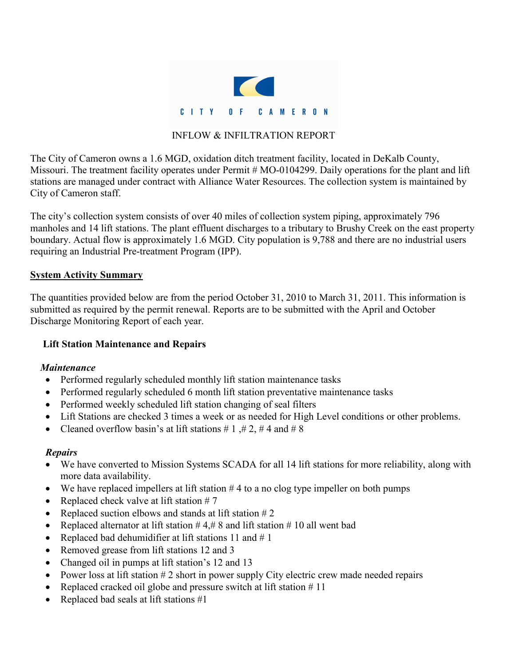

#### INFLOW & INFILTRATION REPORT

The City of Cameron owns a 1.6 MGD, oxidation ditch treatment facility, located in DeKalb County, Missouri. The treatment facility operates under Permit # MO-0104299. Daily operations for the plant and lift stations are managed under contract with Alliance Water Resources. The collection system is maintained by City of Cameron staff.

The city's collection system consists of over 40 miles of collection system piping, approximately 796 manholes and 14 lift stations. The plant effluent discharges to a tributary to Brushy Creek on the east property boundary. Actual flow is approximately 1.6 MGD. City population is 9,788 and there are no industrial users requiring an Industrial Pre-treatment Program (IPP).

#### **System Activity Summary**

The quantities provided below are from the period October 31, 2010 to March 31, 2011. This information is submitted as required by the permit renewal. Reports are to be submitted with the April and October Discharge Monitoring Report of each year.

# **Lift Station Maintenance and Repairs**

# *Maintenance*

- Performed regularly scheduled monthly lift station maintenance tasks
- Performed regularly scheduled 6 month lift station preventative maintenance tasks
- Performed weekly scheduled lift station changing of seal filters
- Lift Stations are checked 3 times a week or as needed for High Level conditions or other problems.
- Cleaned overflow basin's at lift stations # 1, # 2, # 4 and # 8

# *Repairs*

- We have converted to Mission Systems SCADA for all 14 lift stations for more reliability, along with more data availability.
- We have replaced impellers at lift station  $#4$  to a no clog type impeller on both pumps
- Replaced check valve at lift station  $# 7$
- Replaced suction elbows and stands at lift station  $#2$
- Replaced alternator at lift station  $#4, #8$  and lift station  $#10$  all went bad
- Replaced bad dehumidifier at lift stations 11 and  $# 1$
- Removed grease from lift stations 12 and 3
- Changed oil in pumps at lift station's 12 and 13
- Power loss at lift station  $# 2$  short in power supply City electric crew made needed repairs
- Replaced cracked oil globe and pressure switch at lift station  $# 11$
- Replaced bad seals at lift stations #1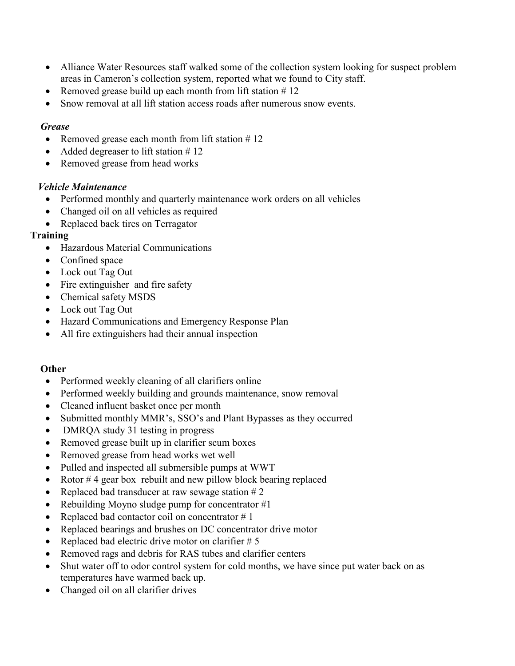- Alliance Water Resources staff walked some of the collection system looking for suspect problem areas in Cameron's collection system, reported what we found to City staff.
- Removed grease build up each month from lift station  $# 12$
- Snow removal at all lift station access roads after numerous snow events.

#### *Grease*

- Removed grease each month from lift station  $# 12$
- Added degreaser to lift station #12
- Removed grease from head works

# *Vehicle Maintenance*

- Performed monthly and quarterly maintenance work orders on all vehicles
- Changed oil on all vehicles as required
- Replaced back tires on Terragator

# **Training**

- Hazardous Material Communications
- Confined space
- Lock out Tag Out
- Fire extinguisher and fire safety
- Chemical safety MSDS
- Lock out Tag Out
- Hazard Communications and Emergency Response Plan
- All fire extinguishers had their annual inspection

# **Other**

- Performed weekly cleaning of all clarifiers online
- Performed weekly building and grounds maintenance, snow removal
- Cleaned influent basket once per month
- Submitted monthly MMR's, SSO's and Plant Bypasses as they occurred
- DMRQA study 31 testing in progress
- Removed grease built up in clarifier scum boxes
- Removed grease from head works wet well
- Pulled and inspected all submersible pumps at WWT
- Rotor  $#4$  gear box rebuilt and new pillow block bearing replaced
- Replaced bad transducer at raw sewage station  $# 2$
- Rebuilding Moyno sludge pump for concentrator  $#1$
- Replaced bad contactor coil on concentrator  $# 1$
- Replaced bearings and brushes on DC concentrator drive motor
- Replaced bad electric drive motor on clarifier  $# 5$
- Removed rags and debris for RAS tubes and clarifier centers
- Shut water off to odor control system for cold months, we have since put water back on as temperatures have warmed back up.
- Changed oil on all clarifier drives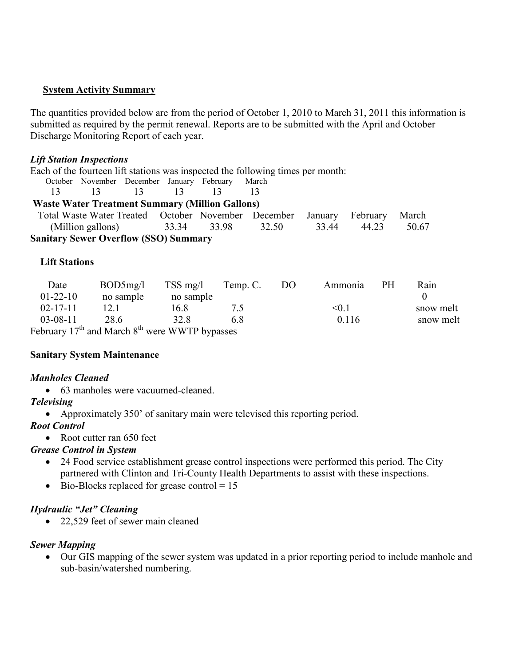#### **System Activity Summary**

The quantities provided below are from the period of October 1, 2010 to March 31, 2011 this information is submitted as required by the permit renewal. Reports are to be submitted with the April and October Discharge Monitoring Report of each year.

#### *Lift Station Inspections*

Each of the fourteen lift stations was inspected the following times per month:

| October November December January February March |      |    |           |    |
|--------------------------------------------------|------|----|-----------|----|
| 13                                               | - 13 | 13 | <u>13</u> | 13 |

|  | <b>Waste Water Treatment Summary (Million Gallons)</b> |  |  |
|--|--------------------------------------------------------|--|--|

| Total Waste Water Treated October November December January February March |  |             |       |  |                   |  |
|----------------------------------------------------------------------------|--|-------------|-------|--|-------------------|--|
| (Million gallons)                                                          |  | 33.34 33.98 | 32.50 |  | 33.44 44.23 50.67 |  |
| Sanitary Sawar Ovarflow (SSO) Summary                                      |  |             |       |  |                   |  |

**Sanitary Sewer Overflow (SSO) Summary** 

#### **Lift Stations**

| Date           | BOD5mg/l                                                 | $TSS$ mg/l | Temp. C. | DO. | Ammonia      | <b>PH</b> | Rain      |
|----------------|----------------------------------------------------------|------------|----------|-----|--------------|-----------|-----------|
| $01-22-10$     | no sample                                                | no sample  |          |     |              |           |           |
| $02 - 17 - 11$ | 12.1                                                     | 16.8       |          |     | $<$ 0.1 $\,$ |           | snow melt |
| $03 - 08 - 11$ | 28.6                                                     | 32 R       | 68       |     | 0.116        |           | snow melt |
|                | February $17^{th}$ and March $8^{th}$ were WWTP bypasses |            |          |     |              |           |           |

#### **Sanitary System Maintenance**

# *Manholes Cleaned*

• 63 manholes were vacuumed-cleaned.

# *Televising*

• Approximately 350' of sanitary main were televised this reporting period.

# *Root Control*

• Root cutter ran 650 feet

# *Grease Control in System*

- 24 Food service establishment grease control inspections were performed this period. The City partnered with Clinton and Tri-County Health Departments to assist with these inspections.
- Bio-Blocks replaced for grease control  $= 15$

# *Hydraulic "Jet" Cleaning*

• 22,529 feet of sewer main cleaned

# *Sewer Mapping*

• Our GIS mapping of the sewer system was updated in a prior reporting period to include manhole and sub-basin/watershed numbering.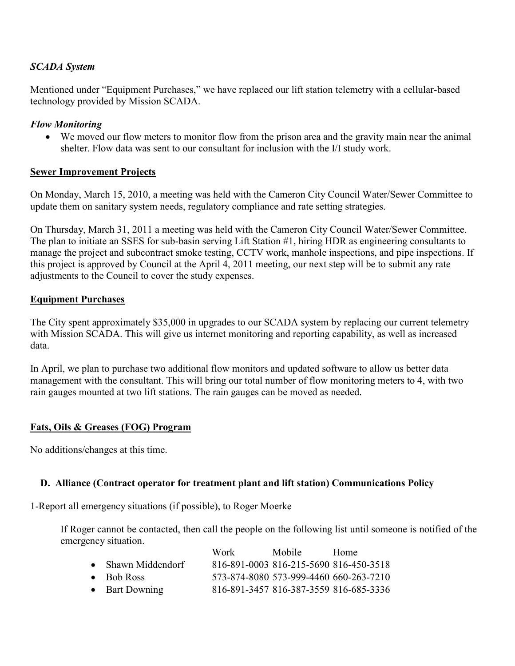#### *SCADA System*

Mentioned under "Equipment Purchases," we have replaced our lift station telemetry with a cellular-based technology provided by Mission SCADA.

#### *Flow Monitoring*

• We moved our flow meters to monitor flow from the prison area and the gravity main near the animal shelter. Flow data was sent to our consultant for inclusion with the I/I study work.

#### **Sewer Improvement Projects**

On Monday, March 15, 2010, a meeting was held with the Cameron City Council Water/Sewer Committee to update them on sanitary system needs, regulatory compliance and rate setting strategies.

On Thursday, March 31, 2011 a meeting was held with the Cameron City Council Water/Sewer Committee. The plan to initiate an SSES for sub-basin serving Lift Station #1, hiring HDR as engineering consultants to manage the project and subcontract smoke testing, CCTV work, manhole inspections, and pipe inspections. If this project is approved by Council at the April 4, 2011 meeting, our next step will be to submit any rate adjustments to the Council to cover the study expenses.

#### **Equipment Purchases**

The City spent approximately \$35,000 in upgrades to our SCADA system by replacing our current telemetry with Mission SCADA. This will give us internet monitoring and reporting capability, as well as increased data.

In April, we plan to purchase two additional flow monitors and updated software to allow us better data management with the consultant. This will bring our total number of flow monitoring meters to 4, with two rain gauges mounted at two lift stations. The rain gauges can be moved as needed.

# **Fats, Oils & Greases (FOG) Program**

No additions/changes at this time.

# **D. Alliance (Contract operator for treatment plant and lift station) Communications Policy**

1-Report all emergency situations (if possible), to Roger Moerke

If Roger cannot be contacted, then call the people on the following list until someone is notified of the emergency situation.

|                    | Work | Mobile: | Home                                   |
|--------------------|------|---------|----------------------------------------|
| • Shawn Middendorf |      |         | 816-891-0003 816-215-5690 816-450-3518 |
| $\bullet$ Bob Ross |      |         | 573-874-8080 573-999-4460 660-263-7210 |
| • Bart Downing     |      |         | 816-891-3457 816-387-3559 816-685-3336 |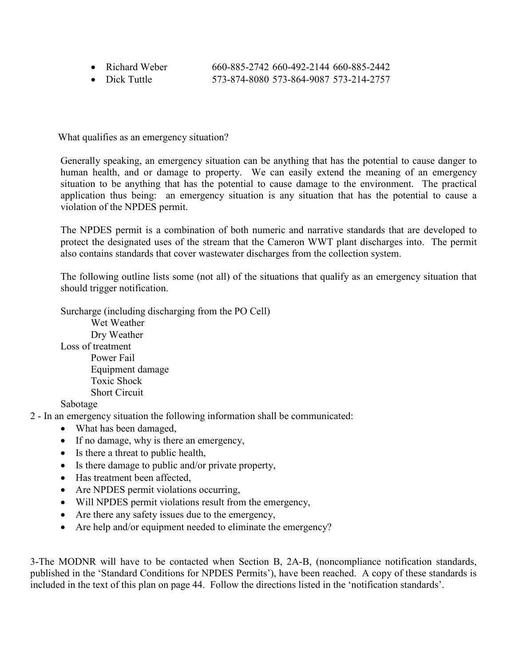| • Richard Weber | 660-885-2742 660-492-2144 660-885-2442   |
|-----------------|------------------------------------------|
|                 | --- ^- ' ^^^^ --^ ^^' ^^^- --^ ^' ' ^--- |

• Dick Tuttle 573-874-8080 573-864-9087 573-214-2757

What qualifies as an emergency situation?

Generally speaking, an emergency situation can be anything that has the potential to cause danger to human health, and or damage to property. We can easily extend the meaning of an emergency situation to be anything that has the potential to cause damage to the environment. The practical application thus being: an emergency situation is any situation that has the potential to cause a violation of the NPDES permit.

The NPDES permit is a combination of both numeric and narrative standards that are developed to protect the designated uses of the stream that the Cameron WWT plant discharges into. The permit also contains standards that cover wastewater discharges from the collection system.

The following outline lists some (not all) of the situations that qualify as an emergency situation that should trigger notification.

Surcharge (including discharging from the PO Cell) Wet Weather Dry Weather Loss of treatment Power Fail Equipment damage Toxic Shock Short Circuit Sabotage

2 - In an emergency situation the following information shall be communicated:

- What has been damaged,
- If no damage, why is there an emergency,
- Is there a threat to public health,
- Is there damage to public and/or private property,
- Has treatment been affected,
- Are NPDES permit violations occurring,
- Will NPDES permit violations result from the emergency,
- Are there any safety issues due to the emergency,
- Are help and/or equipment needed to eliminate the emergency?

3-The MODNR will have to be contacted when Section B, 2A-B, (noncompliance notification standards, published in the 'Standard Conditions for NPDES Permits'), have been reached. A copy of these standards is included in the text of this plan on page 44. Follow the directions listed in the 'notification standards'.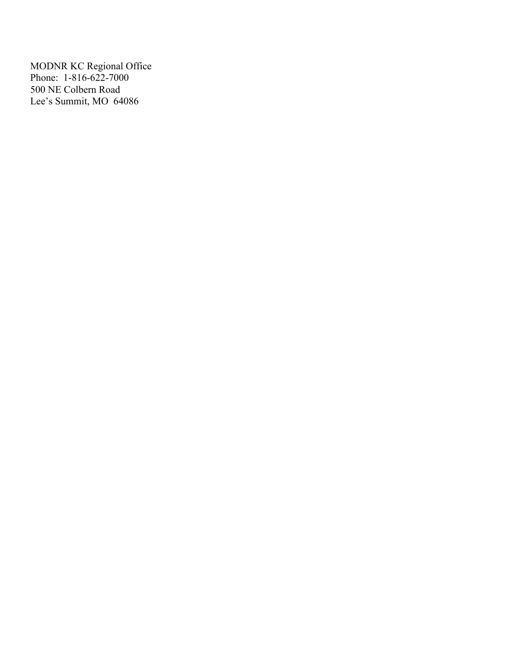MODNR KC Regional Office Phone: 1-816-622-7000 500 NE Colbern Road Lee's Summit, MO 64086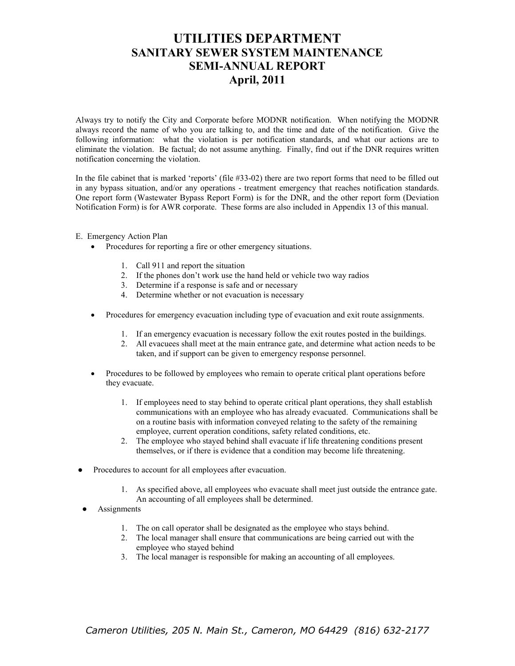# **UTILITIES DEPARTMENT SANITARY SEWER SYSTEM MAINTENANCE SEMI-ANNUAL REPORT April, 2011**

Always try to notify the City and Corporate before MODNR notification. When notifying the MODNR always record the name of who you are talking to, and the time and date of the notification. Give the following information: what the violation is per notification standards, and what our actions are to eliminate the violation. Be factual; do not assume anything. Finally, find out if the DNR requires written notification concerning the violation.

In the file cabinet that is marked 'reports' (file #33-02) there are two report forms that need to be filled out in any bypass situation, and/or any operations - treatment emergency that reaches notification standards. One report form (Wastewater Bypass Report Form) is for the DNR, and the other report form (Deviation Notification Form) is for AWR corporate. These forms are also included in Appendix 13 of this manual.

#### E. Emergency Action Plan

- Procedures for reporting a fire or other emergency situations.
	- 1. Call 911 and report the situation
	- 2. If the phones don't work use the hand held or vehicle two way radios
	- 3. Determine if a response is safe and or necessary
	- 4. Determine whether or not evacuation is necessary
- Procedures for emergency evacuation including type of evacuation and exit route assignments.
	- 1. If an emergency evacuation is necessary follow the exit routes posted in the buildings.
	- 2. All evacuees shall meet at the main entrance gate, and determine what action needs to be taken, and if support can be given to emergency response personnel.
- Procedures to be followed by employees who remain to operate critical plant operations before they evacuate.
	- 1. If employees need to stay behind to operate critical plant operations, they shall establish communications with an employee who has already evacuated. Communications shall be on a routine basis with information conveyed relating to the safety of the remaining employee, current operation conditions, safety related conditions, etc.
	- 2. The employee who stayed behind shall evacuate if life threatening conditions present themselves, or if there is evidence that a condition may become life threatening.
- Procedures to account for all employees after evacuation.
	- 1. As specified above, all employees who evacuate shall meet just outside the entrance gate. An accounting of all employees shall be determined.
- **Assignments** 
	- 1. The on call operator shall be designated as the employee who stays behind.
	- 2. The local manager shall ensure that communications are being carried out with the employee who stayed behind
	- 3. The local manager is responsible for making an accounting of all employees.